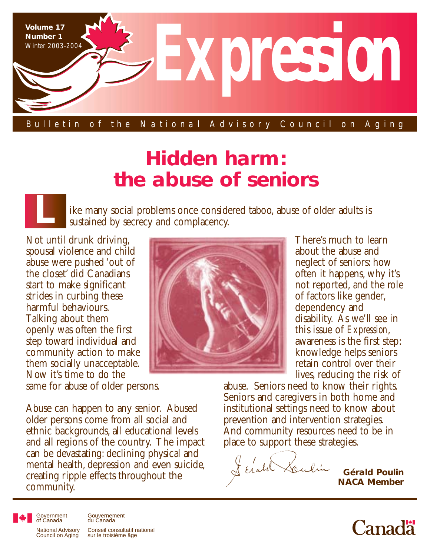

#### Bulletin of the National Advisory Council on Aging

# **Hidden harm: the abuse of seniors**

ike many social problems once considered taboo, abuse of older adults is sustained by secrecy and complacency.

Not until drunk driving, spousal violence and child abuse were pushed 'out of the closet' did Canadians start to make significant strides in curbing these harmful behaviours. Talking about them openly was often the first step toward individual and community action to make them socially unacceptable. Now it's time to do the

same for abuse of older persons.

Abuse can happen to any senior. Abused older persons come from all social and ethnic backgrounds, all educational levels and all regions of the country. The impact can be devastating: declining physical and mental health, depression and even suicide, creating ripple effects throughout the community.



There's much to learn about the abuse and neglect of seniors: how often it happens, why it's not reported, and the role of factors like gender, dependency and disability. As we'll see in this issue of *Expression*, awareness is the first step: knowledge helps seniors retain control over their lives, reducing the risk of

abuse. Seniors need to know their rights. Seniors and caregivers in both home and institutional settings need to know about prevention and intervention strategies. And community resources need to be in place to support these strategies.

Lerald

**Gérald Poulin NACA Member**



Government of Canada National Advisory Council on Aging Conseil consultatif national sur le troisième âge Gouvernement du Canada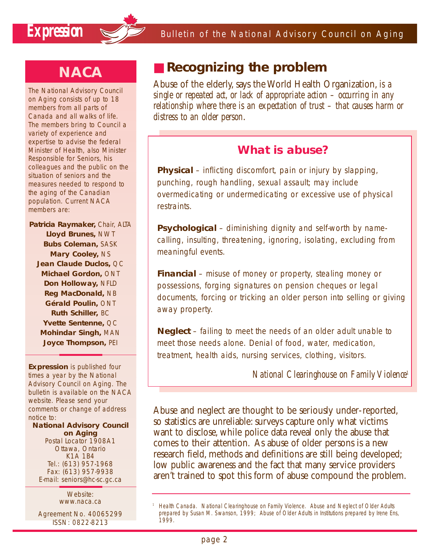

## **NACA**

The National Advisory Council on Aging consists of up to 18 members from all parts of Canada and all walks of life. The members bring to Council a variety of experience and expertise to advise the federal Minister of Health, also Minister Responsible for Seniors, his colleagues and the public on the situation of seniors and the measures needed to respond to the aging of the Canadian population. Current NACA members are:

**Patricia Raymaker,** Chair, ALTA **Lloyd Brunes,** NWT **Bubs Coleman,** SASK **Mary Cooley,** NS **Jean Claude Duclos,** QC **Michael Gordon,** ONT **Don Holloway,** NFLD **Reg MacDonald,** NB **Gérald Poulin,** ONT **Ruth Schiller,** BC **Yvette Sentenne,** QC **Mohindar Singh,** MAN **Joyce Thompson,** PEI

**Expression** is published four times a year by the National Advisory Council on Aging. The bulletin is available on the NACA website. Please send your comments or change of address notice to:

**National Advisory Council on Aging** Postal Locator 1908A1 Ottawa, Ontario K1A 1B4 Tel.: (613) 957-1968

Fax: (613) 957-9938 E-mail: seniors@hc-sc.gc.ca

> Website: www.naca.ca

Agreement No. 40065299 ISSN: 0822-8213

## ■ **Recognizing the problem**

Abuse of the elderly, says the World Health Organization, *is a single or repeated act, or lack of appropriate action – occurring in any relationship where there is an expectation of trust – that causes harm or distress to an older person*.

### **What is abuse?**

**Physical** – inflicting discomfort, pain or injury by slapping, punching, rough handling, sexual assault; may include overmedicating or undermedicating or excessive use of physical restraints.

**Psychological** – diminishing dignity and self-worth by namecalling, insulting, threatening, ignoring, isolating, excluding from meaningful events.

**Financial** – misuse of money or property, stealing money or possessions, forging signatures on pension cheques or legal documents, forcing or tricking an older person into selling or giving away property.

**Neglect** – failing to meet the needs of an older adult unable to meet those needs alone. Denial of food, water, medication, treatment, health aids, nursing services, clothing, visitors.

*National Clearinghouse on Family Violence1*

Abuse and neglect are thought to be seriously under-reported, so statistics are unreliable: surveys capture only what victims want to disclose, while police data reveal only the abuse that comes to their attention. As abuse of older persons is a new research field, methods and definitions are still being developed; low public awareness and the fact that many service providers aren't trained to spot this form of abuse compound the problem.

<sup>1</sup> Health Canada. National Clearinghouse on Family Violence. *Abuse and Neglect of Older Adults* prepared by Susan M. Swanson, 1999; *Abuse of Older Adults in Institutions* prepared by Irene Ens, 1999.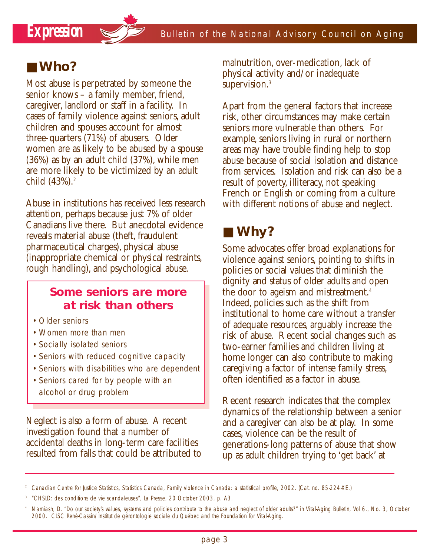## ■ **Who?**

Most abuse is perpetrated by someone the senior knows – a family member, friend, caregiver, landlord or staff in a facility. In cases of family violence against seniors, adult children and spouses account for almost three-quarters (71%) of abusers. Older women are as likely to be abused by a spouse (36%) as by an adult child (37%), while men are more likely to be victimized by an adult child (43%).<sup>2</sup>

Abuse in institutions has received less research attention, perhaps because just 7% of older Canadians live there. But anecdotal evidence reveals material abuse (theft, fraudulent pharmaceutical charges), physical abuse (inappropriate chemical or physical restraints, rough handling), and psychological abuse.

### **Some seniors are more at risk than others**

- Older seniors
- •Women more than men
- •Socially isolated seniors
- •Seniors with reduced cognitive capacity
- •Seniors with disabilities who are dependent
- •Seniors cared for by people with an alcohol or drug problem

Neglect is also a form of abuse. A recent investigation found that a number of accidental deaths in long-term care facilities resulted from falls that could be attributed to malnutrition, over-medication, lack of physical activity and/or inadequate supervision.<sup>3</sup>

Apart from the general factors that increase risk, other circumstances may make certain seniors more vulnerable than others. For example, seniors living in rural or northern areas may have trouble finding help to stop abuse because of social isolation and distance from services. Isolation and risk can also be a result of poverty, illiteracy, not speaking French or English or coming from a culture with different notions of abuse and neglect.

## ■ **Why?**

Some advocates offer broad explanations for violence against seniors, pointing to shifts in policies or social values that diminish the dignity and status of older adults and open the door to ageism and mistreatment.<sup>4</sup> Indeed, policies such as the shift from institutional to home care without a transfer of adequate resources, arguably increase the risk of abuse. Recent social changes such as two-earner families and children living at home longer can also contribute to making caregiving a factor of intense family stress, often identified as a factor in abuse.

Recent research indicates that the complex dynamics of the relationship between a senior and a caregiver can also be at play. In some cases, violence can be the result of generations-long patterns of abuse that show up as adult children trying to 'get back' at

<sup>2</sup> Canadian Centre for Justice Statistics, Statistics Canada, *Family violence in Canada: a statistical profile*, 2002. (Cat. no. 85-224-XIE.)

<sup>3</sup> "CHSLD: des conditions de vie scandaleuses", *La Presse*, 20 October 2003, p. A3.

<sup>4</sup> Namiash, D. "Do our society's values, systems and policies contribute to the abuse and neglect of older adults?" in *Vital-Aging Bulletin*, Vol 6., No. 3, October 2000. CLSC René-Cassin/Institut de gérontologie sociale du Québec and the Foundation for Vital-Aging.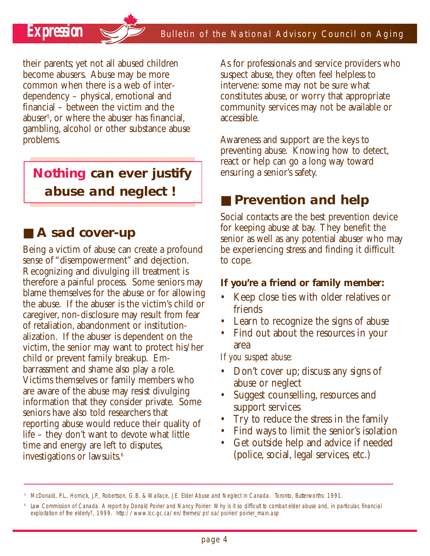their parents; yet not all abused children become abusers. Abuse may be more common when there is a web of interdependency – physical, emotional and financial – between the victim and the abuser5 , or where the abuser has financial, gambling, alcohol or other substance abuse problems.

**Nothing can ever justify abuse and neglect !** 

## ■ A sad cover-up

Being a victim of abuse can create a profound sense of "disempowerment" and dejection. Recognizing and divulging ill treatment is therefore a painful process. Some seniors may blame themselves for the abuse or for allowing the abuse. If the abuser is the victim's child or caregiver, non-disclosure may result from fear of retaliation, abandonment or institutionalization. If the abuser is dependent on the victim, the senior may want to protect his/her child or prevent family breakup. Embarrassment and shame also play a role. Victims themselves or family members who are aware of the abuse may resist divulging information that they consider private. Some seniors have also told researchers that reporting abuse would reduce their quality of life – they don't want to devote what little time and energy are left to disputes, investigations or lawsuits.<sup>6</sup>

As for professionals and service providers who suspect abuse, they often feel helpless to intervene: some may not be sure what constitutes abuse, or worry that appropriate community services may not be available or accessible.

Awareness and support are the keys to preventing abuse. Knowing how to detect, react or help can go a long way toward ensuring a senior's safety.

## ■ **Prevention and help**

Social contacts are the best prevention device for keeping abuse at bay. They benefit the senior as well as any potential abuser who may be experiencing stress and finding it difficult to cope.

#### **If you're a friend or family member:**

- Keep close ties with older relatives or friends
- Learn to recognize the signs of abuse
- Find out about the resources in your area

*If you suspect abuse:*

- Don't cover up; discuss any signs of abuse or neglect
- Suggest counselling, resources and support services
- Try to reduce the stress in the family
- Find ways to limit the senior's isolation
- Get outside help and advice if needed (police, social, legal services, etc.)

<sup>5</sup> McDonald, P.L., Hornick, J.P., Robertson, G.B. & Wallace, J.E. *Elder Abuse and Neglect in Canada*. Toronto, Butterworths: 1991.

Law Commission of Canada. A report by Donald Poirier and Nancy Poirier: Why is it so difficult to combat elder abuse and, in particular, financial *exploitation of the elderly?*, 1999. http://www.lcc.gc.ca/en/themes/pr/oa/poirier/poirier\_main.asp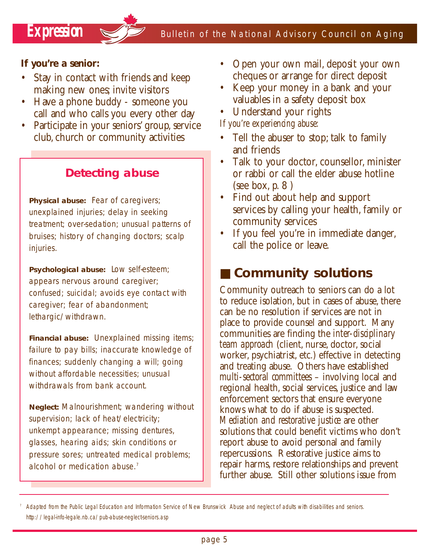### **If you're a senior:**

- Stay in contact with friends and keep making new ones; invite visitors
- Have a phone buddy someone you call and who calls you every other day
- Participate in your seniors' group, service club, church or community activities

### **Detecting abuse**

**Physical abuse:** Fear of caregivers; unexplained injuries; delay in seeking treatment; over-sedation; unusual patterns of bruises; history of changing doctors; scalp injuries.

**Psychological abuse:** Low self-esteem; appears nervous around caregiver; confused; suicidal; avoids eye contact with caregiver; fear of abandonment; lethargic/withdrawn.

**Financial abuse:** Unexplained missing items; failure to pay bills; inaccurate knowledge of finances; suddenly changing a will; going without affordable necessities; unusual withdrawals from bank account.

**Neglect:** Malnourishment; wandering without supervision; lack of heat/electricity; unkempt appearance; missing dentures, glasses, hearing aids; skin conditions or pressure sores; untreated medical problems; alcohol or medication abuse.<sup>7</sup>

- Open your own mail, deposit your own cheques or arrange for direct deposit
- Keep your money in a bank and your valuables in a safety deposit box
- Understand your rights

*If you're experiencing abuse:*

- Tell the abuser to stop; talk to family and friends
- Talk to your doctor, counsellor, minister or rabbi or call the elder abuse hotline (see box,  $p. 8$ )
- Find out about help and support services by calling your health, family or community services
- If you feel you're in immediate danger, call the police or leave.

## ■ **Community solutions**

Community outreach to seniors can do a lot to reduce isolation, but in cases of abuse, there can be no resolution if services are not in place to provide counsel and support. Many communities are finding the *inter-disciplinary team approach* (client, nurse, doctor, social worker, psychiatrist, etc.) effective in detecting and treating abuse. Others have established *multi-sectoral committees* – involving local and regional health, social services, justice and law enforcement sectors that ensure everyone knows what to do if abuse is suspected. *Mediation and restorative justice* are other solutions that could benefit victims who don't report abuse to avoid personal and family repercussions. Restorative justice aims to repair harms, restore relationships and prevent further abuse. Still other solutions issue from

<sup>7</sup> Adapted from the Public Legal Education and Information Service of New Brunswick *Abuse and neglect of adults with disabilities and seniors*. http://legal-info-legale.nb.ca/pub-abuse-neglect-seniors.asp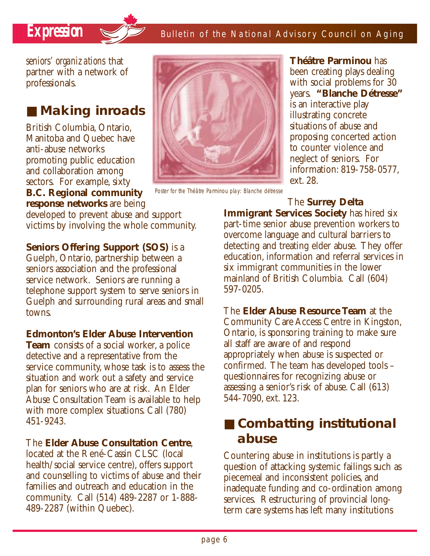

*seniors' organizations* that partner with a network of professionals.

## ■ **Making inroads**

British Columbia, Ontario, Manitoba and Quebec have anti-abuse networks promoting public education and collaboration among sectors. For example, sixty

**B.C. Regional community response networks** are being

developed to prevent abuse and support victims by involving the whole community.

**Seniors Offering Support (SOS)** is a Guelph, Ontario, partnership between a seniors association and the professional service network. Seniors are running a telephone support system to serve seniors in Guelph and surrounding rural areas and small towns.

#### **Edmonton's Elder Abuse Intervention**

**Team** consists of a social worker, a police detective and a representative from the service community, whose task is to assess the situation and work out a safety and service plan for seniors who are at risk. An Elder Abuse Consultation Team is available to help with more complex situations. Call (780) 451-9243.

#### The **Elder Abuse Consultation Centre**,

located at the René-Cassin CLSC (local health/social service centre), offers support and counselling to victims of abuse and their families and outreach and education in the community. Call (514) 489-2287 or 1-888- 489-2287 (within Quebec).



Poster for the Théâtre Parminou play: *Blanche détresse*

**Théâtre Parminou** has been creating plays dealing with social problems for 30 years. **"Blanche Détresse"** is an interactive play illustrating concrete situations of abuse and proposing concerted action to counter violence and neglect of seniors. For information: 819-758-0577, ext. 28.

The **Surrey Delta Immigrant Services Society** has hired six part-time senior abuse prevention workers to overcome language and cultural barriers to detecting and treating elder abuse. They offer education, information and referral services in six immigrant communities in the lower mainland of British Columbia. Call (604) 597-0205.

The **Elder Abuse Resource Team** at the Community Care Access Centre in Kingston, Ontario, is sponsoring training to make sure all staff are aware of and respond appropriately when abuse is suspected or confirmed. The team has developed tools – questionnaires for recognizing abuse or assessing a senior's risk of abuse. Call (613) 544-7090, ext. 123.

## ■ **Combatting institutional abuse**

Countering abuse in institutions is partly a question of attacking systemic failings such as piecemeal and inconsistent policies, and inadequate funding and co-ordination among services. Restructuring of provincial longterm care systems has left many institutions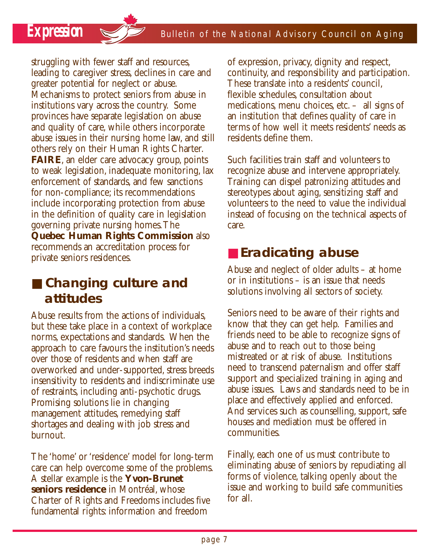*Expression* Sealletin of the National Advisory Council on Aging

struggling with fewer staff and resources, leading to caregiver stress, declines in care and greater potential for neglect or abuse. Mechanisms to protect seniors from abuse in institutions vary across the country. Some provinces have separate legislation on abuse and quality of care, while others incorporate abuse issues in their nursing home law, and still others rely on their Human Rights Charter. **FAIRE**, an elder care advocacy group, points to weak legislation, inadequate monitoring, lax enforcement of standards, and few sanctions for non-compliance; its recommendations include incorporating protection from abuse in the definition of quality care in legislation governing private nursing homes.The **Quebec Human Rights Commission** also recommends an accreditation process for private seniors residences.

## ■ **Changing culture and attitudes**

Abuse results from the actions of individuals, but these take place in a context of workplace norms, expectations and standards. When the approach to care favours the institution's needs over those of residents and when staff are overworked and under-supported, stress breeds insensitivity to residents and indiscriminate use of restraints, including anti-psychotic drugs. Promising solutions lie in changing management attitudes, remedying staff shortages and dealing with job stress and burnout.

The 'home' or 'residence' model for long-term care can help overcome some of the problems. A stellar example is the **Yvon-Brunet seniors residence** in Montréal, whose Charter of Rights and Freedoms includes five fundamental rights: information and freedom

of expression, privacy, dignity and respect, continuity, and responsibility and participation. These translate into a residents' council, flexible schedules, consultation about medications, menu choices, etc. – all signs of an institution that defines quality of care in terms of how well it meets residents' needs as residents define them.

Such facilities train staff and volunteers to recognize abuse and intervene appropriately. Training can dispel patronizing attitudes and stereotypes about aging, sensitizing staff and volunteers to the need to value the individual instead of focusing on the technical aspects of care.

## ■ **Eradicating abuse**

Abuse and neglect of older adults – at home or in institutions – is an issue that needs solutions involving all sectors of society.

Seniors need to be aware of their rights and know that they can get help. Families and friends need to be able to recognize signs of abuse and to reach out to those being mistreated or at risk of abuse. Institutions need to transcend paternalism and offer staff support and specialized training in aging and abuse issues. Laws and standards need to be in place and effectively applied and enforced. And services such as counselling, support, safe houses and mediation must be offered in communities.

Finally, each one of us must contribute to eliminating abuse of seniors by repudiating all forms of violence, talking openly about the issue and working to build safe communities for all.